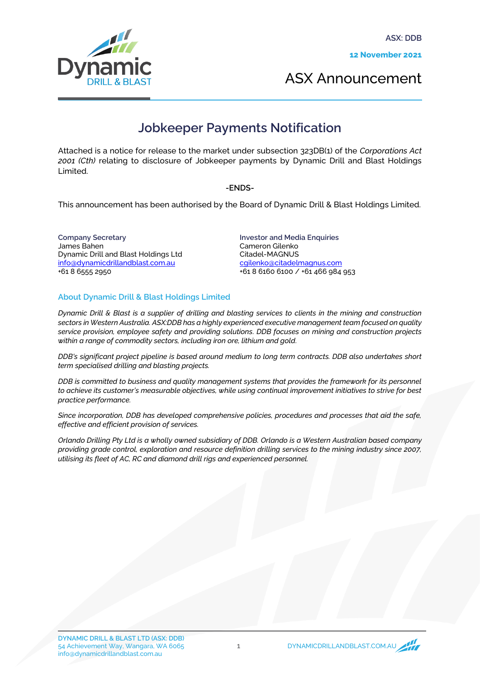

ASX Announcement

## **Jobkeeper Payments Notification**

Attached is a notice for release to the market under subsection 323DB(1) of the *Corporations Act 2001 (Cth)* relating to disclosure of Jobkeeper payments by Dynamic Drill and Blast Holdings Limited.

-ENDS-

This announcement has been authorised by the Board of Dynamic Drill & Blast Holdings Limited.

Company Secretary James Bahen Dynamic Drill and Blast Holdings Ltd info@dynamicdrillandblast.com.au +61 8 6555 2950

Investor and Media Enquiries Cameron Gilenko Citadel-MAGNUS [cgilenko@citadelmagnus.com](mailto:cgilenko@citadelmagnus.com) +61 8 6160 6100 / +61 466 984 953

## About Dynamic Drill & Blast Holdings Limited

*Dynamic Drill & Blast is a supplier of drilling and blasting services to clients in the mining and construction sectors in Western Australia. ASX:DDB has a highly experienced executive management team focused on quality service provision, employee safety and providing solutions. DDB focuses on mining and construction projects within a range of commodity sectors, including iron ore, lithium and gold.*

*DDB's significant project pipeline is based around medium to long term contracts. DDB also undertakes short term specialised drilling and blasting projects.*

*DDB is committed to business and quality management systems that provides the framework for its personnel to achieve its customer's measurable objectives, while using continual improvement initiatives to strive for best practice performance.*

*Since incorporation, DDB has developed comprehensive policies, procedures and processes that aid the safe, effective and efficient provision of services.*

*Orlando Drilling Pty Ltd is a wholly owned subsidiary of DDB. Orlando is a Western Australian based company providing grade control, exploration and resource definition drilling services to the mining industry since 2007, utilising its fleet of AC, RC and diamond drill rigs and experienced personnel.*